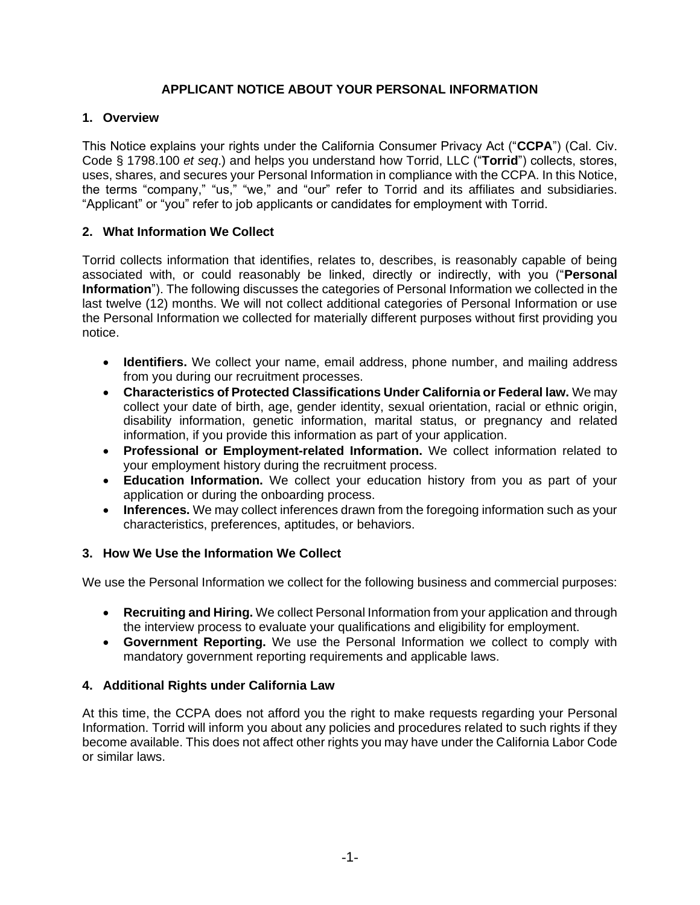# **APPLICANT NOTICE ABOUT YOUR PERSONAL INFORMATION**

## **1. Overview**

This Notice explains your rights under the California Consumer Privacy Act ("**CCPA**") (Cal. Civ. Code § 1798.100 *et seq*.) and helps you understand how Torrid, LLC ("**Torrid**") collects, stores, uses, shares, and secures your Personal Information in compliance with the CCPA. In this Notice, the terms "company," "us," "we," and "our" refer to Torrid and its affiliates and subsidiaries. "Applicant" or "you" refer to job applicants or candidates for employment with Torrid.

## **2. What Information We Collect**

Torrid collects information that identifies, relates to, describes, is reasonably capable of being associated with, or could reasonably be linked, directly or indirectly, with you ("**Personal Information**"). The following discusses the categories of Personal Information we collected in the last twelve (12) months. We will not collect additional categories of Personal Information or use the Personal Information we collected for materially different purposes without first providing you notice.

- **Identifiers.** We collect your name, email address, phone number, and mailing address from you during our recruitment processes.
- **Characteristics of Protected Classifications Under California or Federal law.** We may collect your date of birth, age, gender identity, sexual orientation, racial or ethnic origin, disability information, genetic information, marital status, or pregnancy and related information, if you provide this information as part of your application.
- **Professional or Employment-related Information.** We collect information related to your employment history during the recruitment process.
- **Education Information.** We collect your education history from you as part of your application or during the onboarding process.
- **Inferences.** We may collect inferences drawn from the foregoing information such as your characteristics, preferences, aptitudes, or behaviors.

#### **3. How We Use the Information We Collect**

We use the Personal Information we collect for the following business and commercial purposes:

- **Recruiting and Hiring.** We collect Personal Information from your application and through the interview process to evaluate your qualifications and eligibility for employment.
- **Government Reporting.** We use the Personal Information we collect to comply with mandatory government reporting requirements and applicable laws.

# **4. Additional Rights under California Law**

At this time, the CCPA does not afford you the right to make requests regarding your Personal Information. Torrid will inform you about any policies and procedures related to such rights if they become available. This does not affect other rights you may have under the California Labor Code or similar laws.